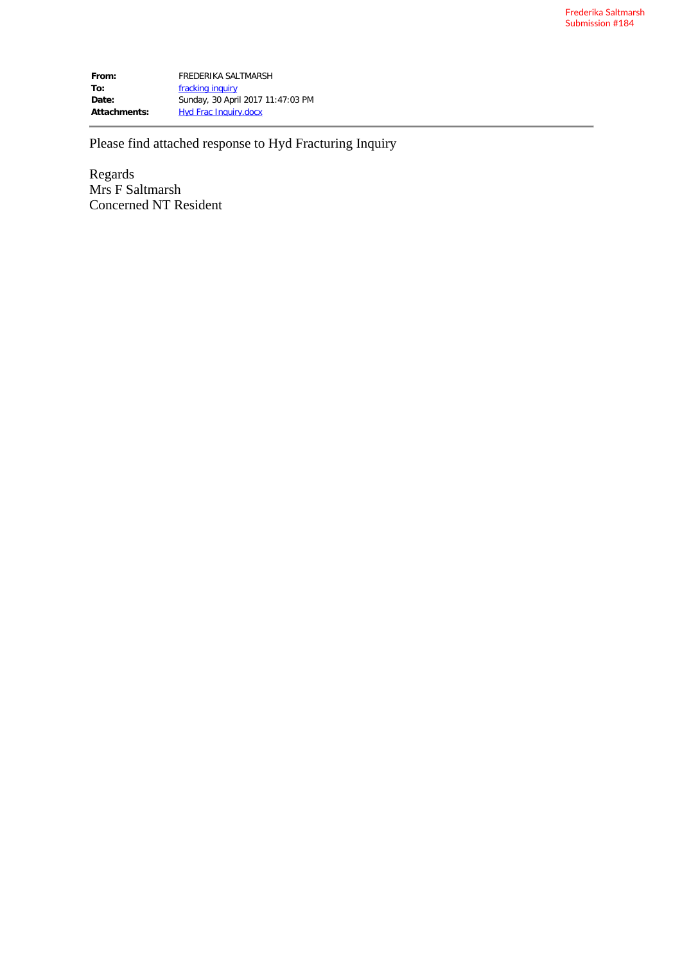**From:** FREDERIKA SALTMARSH To: **[fracking inquiry](mailto:fracking.inquiry@nt.gov.au) Date:** Sunday, 30 April 2017 11:47:03 PM Attachments: Hyd Frac Inquiry.docx

Please find attached response to Hyd Fracturing Inquiry

Regards Mrs F Saltmarsh Concerned NT Resident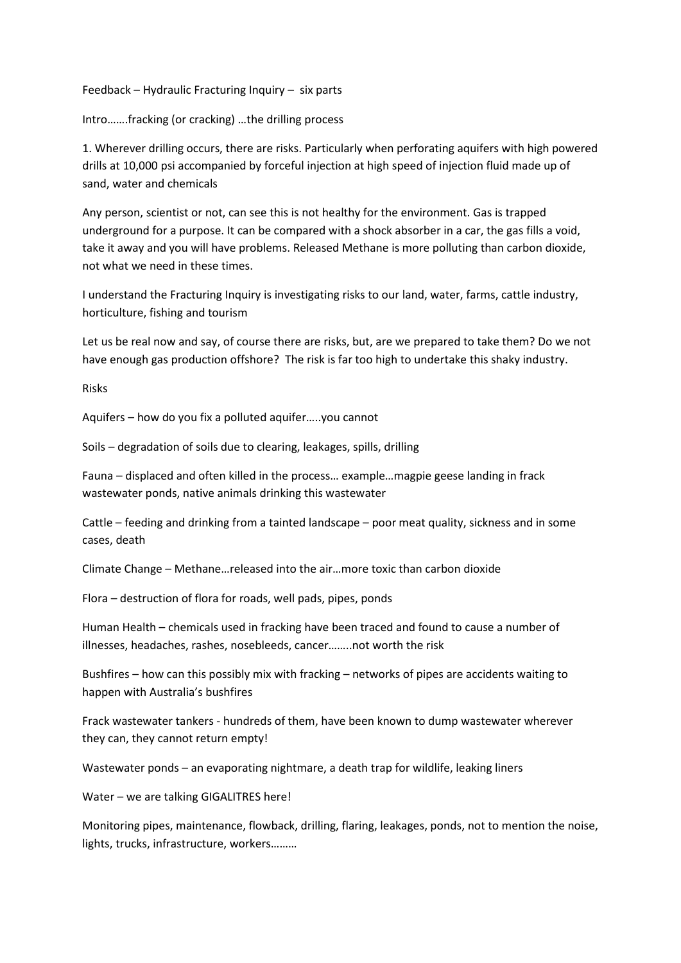Feedback – Hydraulic Fracturing Inquiry – six parts

Intro…….fracking (or cracking) …the drilling process

1. Wherever drilling occurs, there are risks. Particularly when perforating aquifers with high powered drills at 10,000 psi accompanied by forceful injection at high speed of injection fluid made up of sand, water and chemicals

Any person, scientist or not, can see this is not healthy for the environment. Gas is trapped underground for a purpose. It can be compared with a shock absorber in a car, the gas fills a void, take it away and you will have problems. Released Methane is more polluting than carbon dioxide, not what we need in these times.

I understand the Fracturing Inquiry is investigating risks to our land, water, farms, cattle industry, horticulture, fishing and tourism

Let us be real now and say, of course there are risks, but, are we prepared to take them? Do we not have enough gas production offshore? The risk is far too high to undertake this shaky industry.

Risks

Aquifers – how do you fix a polluted aquifer…..you cannot

Soils – degradation of soils due to clearing, leakages, spills, drilling

Fauna – displaced and often killed in the process… example…magpie geese landing in frack wastewater ponds, native animals drinking this wastewater

Cattle – feeding and drinking from a tainted landscape – poor meat quality, sickness and in some cases, death

Climate Change – Methane…released into the air…more toxic than carbon dioxide

Flora – destruction of flora for roads, well pads, pipes, ponds

Human Health – chemicals used in fracking have been traced and found to cause a number of illnesses, headaches, rashes, nosebleeds, cancer……..not worth the risk

Bushfires – how can this possibly mix with fracking – networks of pipes are accidents waiting to happen with Australia's bushfires

Frack wastewater tankers - hundreds of them, have been known to dump wastewater wherever they can, they cannot return empty!

Wastewater ponds – an evaporating nightmare, a death trap for wildlife, leaking liners

Water – we are talking GIGALITRES here!

Monitoring pipes, maintenance, flowback, drilling, flaring, leakages, ponds, not to mention the noise, lights, trucks, infrastructure, workers………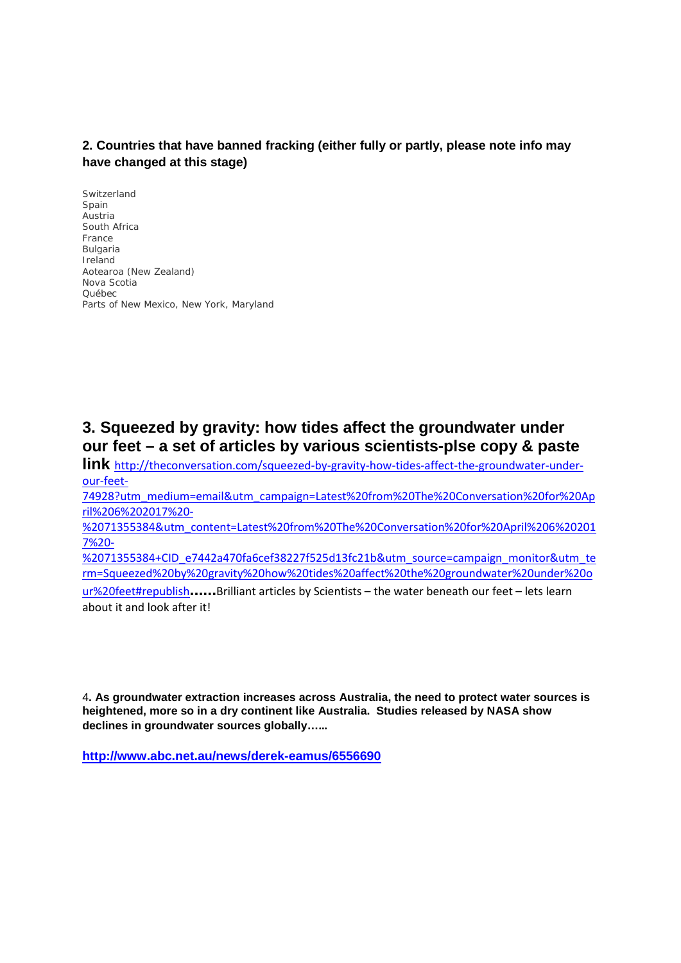## **2. Countries that have banned fracking (either fully or partly, please note info may have changed at this stage)**

Switzerland Spain Austria South Africa France Bulgaria Ireland Aotearoa (New Zealand) Nova Scotia Québec Parts of New Mexico, New York, Maryland

## **3. Squeezed by gravity: how tides affect the groundwater under our feet – a set of articles by various scientists-plse copy & paste**

**link** [http://theconversation.com/squeezed-by-gravity-how-tides-affect-the-groundwater-under](http://theconversation.com/squeezed-by-gravity-how-tides-affect-the-groundwater-under-our-feet-74928?utm_medium=email&utm_campaign=Latest%20from%20The%20Conversation%20for%20April%206%202017%20-%2071355384&utm_content=Latest%20from%20The%20Conversation%20for%20April%206%202017%20-%2071355384+CID_e7442a470fa6cef38227f525d13fc21b&utm_source=campaign_monitor&utm_term=Squeezed%20by%20gravity%20how%20tides%20affect%20the%20groundwater%20under%20our%20feet#republish)[our-feet-](http://theconversation.com/squeezed-by-gravity-how-tides-affect-the-groundwater-under-our-feet-74928?utm_medium=email&utm_campaign=Latest%20from%20The%20Conversation%20for%20April%206%202017%20-%2071355384&utm_content=Latest%20from%20The%20Conversation%20for%20April%206%202017%20-%2071355384+CID_e7442a470fa6cef38227f525d13fc21b&utm_source=campaign_monitor&utm_term=Squeezed%20by%20gravity%20how%20tides%20affect%20the%20groundwater%20under%20our%20feet#republish)

[74928?utm\\_medium=email&utm\\_campaign=Latest%20from%20The%20Conversation%20for%20Ap](http://theconversation.com/squeezed-by-gravity-how-tides-affect-the-groundwater-under-our-feet-74928?utm_medium=email&utm_campaign=Latest%20from%20The%20Conversation%20for%20April%206%202017%20-%2071355384&utm_content=Latest%20from%20The%20Conversation%20for%20April%206%202017%20-%2071355384+CID_e7442a470fa6cef38227f525d13fc21b&utm_source=campaign_monitor&utm_term=Squeezed%20by%20gravity%20how%20tides%20affect%20the%20groundwater%20under%20our%20feet#republish) [ril%206%202017%20-](http://theconversation.com/squeezed-by-gravity-how-tides-affect-the-groundwater-under-our-feet-74928?utm_medium=email&utm_campaign=Latest%20from%20The%20Conversation%20for%20April%206%202017%20-%2071355384&utm_content=Latest%20from%20The%20Conversation%20for%20April%206%202017%20-%2071355384+CID_e7442a470fa6cef38227f525d13fc21b&utm_source=campaign_monitor&utm_term=Squeezed%20by%20gravity%20how%20tides%20affect%20the%20groundwater%20under%20our%20feet#republish)

[%2071355384&utm\\_content=Latest%20from%20The%20Conversation%20for%20April%206%20201](http://theconversation.com/squeezed-by-gravity-how-tides-affect-the-groundwater-under-our-feet-74928?utm_medium=email&utm_campaign=Latest%20from%20The%20Conversation%20for%20April%206%202017%20-%2071355384&utm_content=Latest%20from%20The%20Conversation%20for%20April%206%202017%20-%2071355384+CID_e7442a470fa6cef38227f525d13fc21b&utm_source=campaign_monitor&utm_term=Squeezed%20by%20gravity%20how%20tides%20affect%20the%20groundwater%20under%20our%20feet#republish) [7%20-](http://theconversation.com/squeezed-by-gravity-how-tides-affect-the-groundwater-under-our-feet-74928?utm_medium=email&utm_campaign=Latest%20from%20The%20Conversation%20for%20April%206%202017%20-%2071355384&utm_content=Latest%20from%20The%20Conversation%20for%20April%206%202017%20-%2071355384+CID_e7442a470fa6cef38227f525d13fc21b&utm_source=campaign_monitor&utm_term=Squeezed%20by%20gravity%20how%20tides%20affect%20the%20groundwater%20under%20our%20feet#republish)

[%2071355384+CID\\_e7442a470fa6cef38227f525d13fc21b&utm\\_source=campaign\\_monitor&utm\\_te](http://theconversation.com/squeezed-by-gravity-how-tides-affect-the-groundwater-under-our-feet-74928?utm_medium=email&utm_campaign=Latest%20from%20The%20Conversation%20for%20April%206%202017%20-%2071355384&utm_content=Latest%20from%20The%20Conversation%20for%20April%206%202017%20-%2071355384+CID_e7442a470fa6cef38227f525d13fc21b&utm_source=campaign_monitor&utm_term=Squeezed%20by%20gravity%20how%20tides%20affect%20the%20groundwater%20under%20our%20feet#republish) [rm=Squeezed%20by%20gravity%20how%20tides%20affect%20the%20groundwater%20under%20o](http://theconversation.com/squeezed-by-gravity-how-tides-affect-the-groundwater-under-our-feet-74928?utm_medium=email&utm_campaign=Latest%20from%20The%20Conversation%20for%20April%206%202017%20-%2071355384&utm_content=Latest%20from%20The%20Conversation%20for%20April%206%202017%20-%2071355384+CID_e7442a470fa6cef38227f525d13fc21b&utm_source=campaign_monitor&utm_term=Squeezed%20by%20gravity%20how%20tides%20affect%20the%20groundwater%20under%20our%20feet#republish)

[ur%20feet#republish](http://theconversation.com/squeezed-by-gravity-how-tides-affect-the-groundwater-under-our-feet-74928?utm_medium=email&utm_campaign=Latest%20from%20The%20Conversation%20for%20April%206%202017%20-%2071355384&utm_content=Latest%20from%20The%20Conversation%20for%20April%206%202017%20-%2071355384+CID_e7442a470fa6cef38227f525d13fc21b&utm_source=campaign_monitor&utm_term=Squeezed%20by%20gravity%20how%20tides%20affect%20the%20groundwater%20under%20our%20feet#republish)**......**Brilliant articles by Scientists – the water beneath our feet – lets learn about it and look after it!

4**. As groundwater extraction increases across Australia, the need to protect water sources is heightened, more so in a dry continent like Australia. Studies released by NASA show declines in groundwater sources globally……**

**<http://www.abc.net.au/news/derek-eamus/6556690>**